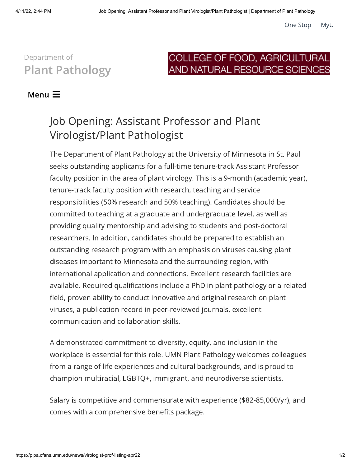## Department of Plant [Pathology](https://plpa.cfans.umn.edu/)

## COLLEGE OF FOOD, AGRICULTURAL AND NATURAL RESOURCE SCIENCES

## Menu $\equiv$

## Job Opening: Assistant Professor and Plant Virologist/Plant Pathologist

The Department of Plant Pathology at the University of Minnesota in St. Paul seeks outstanding applicants for a full-time tenure-track Assistant Professor faculty position in the area of plant virology. This is a 9-month (academic year), tenure-track faculty position with research, teaching and service responsibilities (50% research and 50% teaching). Candidates should be committed to teaching at a graduate and undergraduate level, as well as providing quality mentorship and advising to students and post-doctoral researchers. In addition, candidates should be prepared to establish an outstanding research program with an emphasis on viruses causing plant diseases important to Minnesota and the surrounding region, with international application and connections. Excellent research facilities are available. Required qualifications include a PhD in plant pathology or a related field, proven ability to conduct innovative and original research on plant viruses, a publication record in peer-reviewed journals, excellent communication and collaboration skills.

A demonstrated commitment to diversity, equity, and inclusion in the workplace is essential for this role. UMN Plant Pathology welcomes colleagues from a range of life experiences and cultural backgrounds, and is proud to champion multiracial, LGBTQ+, immigrant, and neurodiverse scientists.

Salary is competitive and commensurate with experience (\$82-85,000/yr), and comes with a comprehensive benefits package.